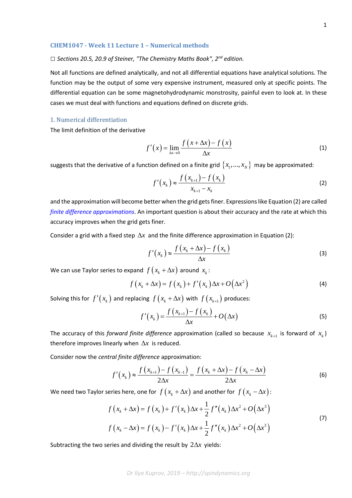## *□ Sections 20.5, 20.9 of Steiner, "The Chemistry Maths Book", 2nd edition.*

Not all functions are defined analytically, and not all differential equations have analytical solutions. The function may be the output of some very expensive instrument, measured only at specific points. The differential equation can be some magnetohydrodynamic monstrosity, painful even to look at. In these cases we must deal with functions and equations defined on discrete grids.

## 1. Numerical differentiation

The limit definition of the derivative

$$
f'(x) = \lim_{\Delta x \to 0} \frac{f(x + \Delta x) - f(x)}{\Delta x}
$$
 (1)

suggests that the derivative of a function defined on a finite grid  $\{x_1,...,x_N\}$  may be approximated:

$$
f'(x_k) \approx \frac{f(x_{k+1}) - f(x_k)}{x_{k+1} - x_k}
$$
 (2)

and the approximation will become better when the grid gets finer. Expressions like Equation (2) are called *[finite difference approximations](https://en.wikipedia.org/wiki/Finite_difference)*. An important question is about their accuracy and the rate at which this accuracy improves when the grid gets finer.

Consider a grid with a fixed step  $\Delta x$  and the finite difference approximation in Equation (2):

$$
f'(x_k) \approx \frac{f(x_k + \Delta x) - f(x_k)}{\Delta x}
$$
 (3)

We can use Taylor series to expand  $f(x_k + \Delta x)$  around  $x_k$ :

$$
f(x_k + \Delta x) = f(x_k) + f'(x_k) \Delta x + O(\Delta x^2)
$$
\n(4)

Solving this for  $f'(x_k)$  and replacing  $f(x_k + \Delta x)$  with  $f(x_{k+1})$  produces:

$$
f'(x_k) = \frac{f(x_{k+1}) - f(x_k)}{\Delta x} + O(\Delta x)
$$
\n(5)

The accuracy of this *forward finite difference* approximation (called so because  $x_{k+1}$  is forward of  $x_k$ ) therefore improves linearly when ∆*x* is reduced.

Consider now the *central finite difference* approximation:

$$
f'(x_k) \approx \frac{f(x_{k+1}) - f(x_{k-1})}{2\Delta x} = \frac{f(x_k + \Delta x) - f(x_k - \Delta x)}{2\Delta x}
$$
(6)

We need two Taylor series here, one for  $f(x_k + \Delta x)$  and another for  $f(x_k - \Delta x)$ :

$$
f(x_k + \Delta x) = f(x_k) + f'(x_k) \Delta x + \frac{1}{2} f''(x_k) \Delta x^2 + O(\Delta x^3)
$$
  

$$
f(x_k - \Delta x) = f(x_k) - f'(x_k) \Delta x + \frac{1}{2} f''(x_k) \Delta x^2 + O(\Delta x^3)
$$
 (7)

Subtracting the two series and dividing the result by 2∆*x* yields: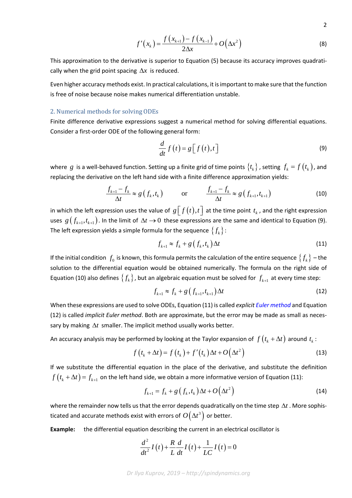$$
\mathbf{2}^{\prime}
$$

$$
f'(x_k) = \frac{f(x_{k+1}) - f(x_{k-1})}{2\Delta x} + O(\Delta x^2)
$$
 (8)

This approximation to the derivative is superior to Equation (5) because its accuracy improves quadratically when the grid point spacing  $\Delta x$  is reduced.

Even higher accuracy methods exist. In practical calculations, it is important to make sure that the function is free of noise because noise makes numerical differentiation unstable.

## 2. Numerical methods for solving ODEs

Finite difference derivative expressions suggest a numerical method for solving differential equations. Consider a first-order ODE of the following general form:

$$
\frac{d}{dt}f\left(t\right) = g\left[f\left(t\right),t\right]
$$
\n(9)

where *g* is a well-behaved function. Setting up a finite grid of time points  $\{t_k\}$ , setting  $f_k = f(t_k)$ , and replacing the derivative on the left hand side with a finite difference approximation yields:

$$
\frac{f_{k+1} - f_k}{\Delta t} \approx g\left(f_k, t_k\right) \qquad \text{or} \qquad \frac{f_{k+1} - f_k}{\Delta t} \approx g\left(f_{k+1}, t_{k+1}\right) \tag{10}
$$

in which the left expression uses the value of  $g[f(t), t]$  at the time point  $t_k$ , and the right expression uses  $g(f_{k+1}, t_{k+1})$ . In the limit of  $\Delta t \to 0$  these expressions are the same and identical to Equation (9). The left expression yields a simple formula for the sequence  $\{f_k\}$ :

$$
f_{k+1} \approx f_k + g\left(f_k, t_k\right) \Delta t \tag{11}
$$

If the initial condition  $f_0$  is known, this formula permits the calculation of the entire sequence  ${f_k}$  – the solution to the differential equation would be obtained numerically. The formula on the right side of Equation (10) also defines  $\{f_k\}$ , but an algebraic equation must be solved for  $f_{k+1}$  at every time step:

$$
f_{k+1} \approx f_k + g\left(f_{k+1}, t_{k+1}\right) \Delta t \tag{12}
$$

When these expressions are used to solve ODEs, Equation (11) is called *explicit [Euler method](https://en.wikipedia.org/wiki/Euler_method)* and Equation (12) is called *implicit Euler method*. Both are approximate, but the error may be made as small as necessary by making ∆*t* smaller. The implicit method usually works better.

An accuracy analysis may be performed by looking at the Taylor expansion of  $f(t_k + \Delta t)$  around  $t_k$ :

$$
f(t_k + \Delta t) = f(t_k) + f'(t_k) \Delta t + O(\Delta t^2)
$$
\n(13)

If we substitute the differential equation in the place of the derivative, and substitute the definition  $f(t_k + \Delta t) = f_{k+1}$  on the left hand side, we obtain a more informative version of Equation (11):

$$
f_{k+1} = f_k + g\left(f_k, t_k\right) \Delta t + O\left(\Delta t^2\right) \tag{14}
$$

where the remainder now tells us that the error depends quadratically on the time step ∆*t* . More sophisticated and accurate methods exist with errors of  $O(\Delta t^3)$  or better.

**Example:** the differential equation describing the current in an electrical oscillator is

$$
\frac{d^2}{dt^2}I(t) + \frac{R}{L}\frac{d}{dt}I(t) + \frac{1}{LC}I(t) = 0
$$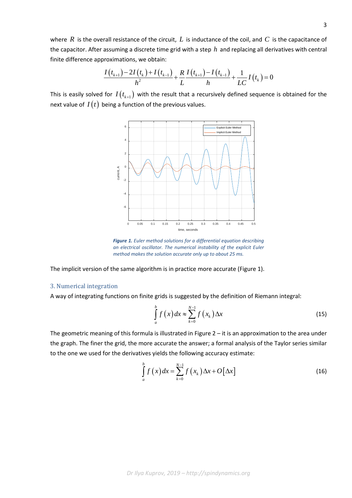where *R* is the overall resistance of the circuit, *L* is inductance of the coil, and *C* is the capacitance of the capacitor. After assuming a discrete time grid with a step *h* and replacing all derivatives with central finite difference approximations, we obtain:

$$
\frac{I(t_{k+1})-2I(t_k)+I(t_{k-1})}{h^2}+\frac{R}{L}\frac{I(t_{k+1})-I(t_{k-1})}{h}+\frac{1}{LC}I(t_k)=0
$$

This is easily solved for  $I(t_{k+1})$  with the result that a recursively defined sequence is obtained for the next value of  $I(t)$  being a function of the previous values.



*Figure 1. Euler method solutions for a differential equation describing an electrical oscillator. The numerical instability of the explicit Euler method makes the solution accurate only up to about 25 ms.*

The implicit version of the same algorithm is in practice more accurate (Figure 1).

## 3. Numerical integration

A way of integrating functions on finite grids is suggested by the definition of Riemann integral:

$$
\int_{a}^{b} f(x) dx \approx \sum_{k=0}^{N-1} f(x_k) \Delta x
$$
\n(15)

The geometric meaning of this formula is illustrated in Figure  $2 - it$  is an approximation to the area under the graph. The finer the grid, the more accurate the answer; a formal analysis of the Taylor series similar to the one we used for the derivatives yields the following accuracy estimate:

$$
\int_{a}^{b} f\left(x\right) dx = \sum_{k=0}^{N-1} f\left(x_k\right) \Delta x + O\left[\Delta x\right]
$$
\n(16)